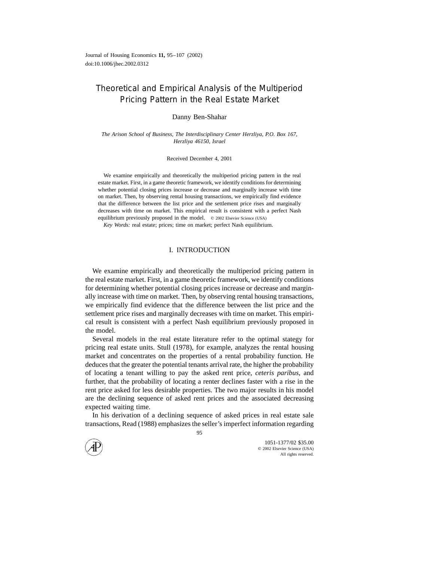## Theoretical and Empirical Analysis of the Multiperiod Pricing Pattern in the Real Estate Market

Danny Ben-Shahar

*The Arison School of Business, The Interdisciplinary Center Herzliya, P.O. Box 167, Herzliya 46150, Israel*

Received December 4, 2001

We examine empirically and theoretically the multiperiod pricing pattern in the real estate market. First, in a game theoretic framework, we identify conditions for determining whether potential closing prices increase or decrease and marginally increase with time on market. Then, by observing rental housing transactions, we empirically find evidence that the difference between the list price and the settlement price rises and marginally decreases with time on market. This empirical result is consistent with a perfect Nash equilibrium previously proposed in the model.  $\circ$  2002 Elsevier Science (USA)

*Key Words:* real estate; prices; time on market; perfect Nash equilibrium.

## I. INTRODUCTION

We examine empirically and theoretically the multiperiod pricing pattern in the real estate market. First, in a game theoretic framework, we identify conditions for determining whether potential closing prices increase or decrease and marginally increase with time on market. Then, by observing rental housing transactions, we empirically find evidence that the difference between the list price and the settlement price rises and marginally decreases with time on market. This empirical result is consistent with a perfect Nash equilibrium previously proposed in the model.

Several models in the real estate literature refer to the optimal stategy for pricing real estate units. Stull (1978), for example, analyzes the rental housing market and concentrates on the properties of a rental probability function. He deduces that the greater the potential tenants arrival rate, the higher the probability of locating a tenant willing to pay the asked rent price, *ceteris paribus*, and further, that the probability of locating a renter declines faster with a rise in the rent price asked for less desirable properties. The two major results in his model are the declining sequence of asked rent prices and the associated decreasing expected waiting time.

In his derivation of a declining sequence of asked prices in real estate sale transactions, Read (1988) emphasizes the seller's imperfect information regarding

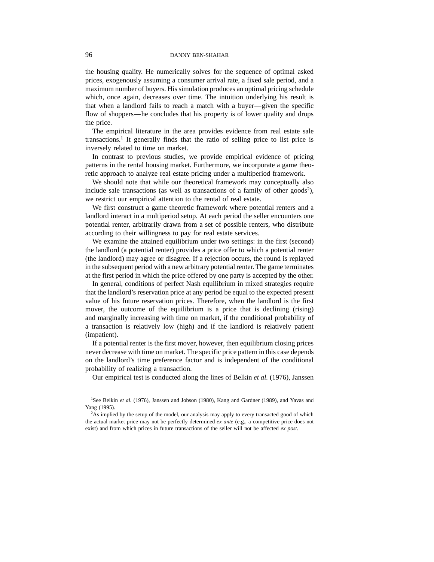the housing quality. He numerically solves for the sequence of optimal asked prices, exogenously assuming a consumer arrival rate, a fixed sale period, and a maximum number of buyers. His simulation produces an optimal pricing schedule which, once again, decreases over time. The intuition underlying his result is that when a landlord fails to reach a match with a buyer—given the specific flow of shoppers—he concludes that his property is of lower quality and drops the price.

The empirical literature in the area provides evidence from real estate sale transactions.<sup>1</sup> It generally finds that the ratio of selling price to list price is inversely related to time on market.

In contrast to previous studies, we provide empirical evidence of pricing patterns in the rental housing market. Furthermore, we incorporate a game theoretic approach to analyze real estate pricing under a multiperiod framework.

We should note that while our theoretical framework may conceptually also include sale transactions (as well as transactions of a family of other goods<sup>2</sup>), we restrict our empirical attention to the rental of real estate.

We first construct a game theoretic framework where potential renters and a landlord interact in a multiperiod setup. At each period the seller encounters one potential renter, arbitrarily drawn from a set of possible renters, who distribute according to their willingness to pay for real estate services.

We examine the attained equilibrium under two settings: in the first (second) the landlord (a potential renter) provides a price offer to which a potential renter (the landlord) may agree or disagree. If a rejection occurs, the round is replayed in the subsequent period with a new arbitrary potential renter. The game terminates at the first period in which the price offered by one party is accepted by the other.

In general, conditions of perfect Nash equilibrium in mixed strategies require that the landlord's reservation price at any period be equal to the expected present value of his future reservation prices. Therefore, when the landlord is the first mover, the outcome of the equilibrium is a price that is declining (rising) and marginally increasing with time on market, if the conditional probability of a transaction is relatively low (high) and if the landlord is relatively patient (impatient).

If a potential renter is the first mover, however, then equilibrium closing prices never decrease with time on market. The specific price pattern in this case depends on the landlord's time preference factor and is independent of the conditional probability of realizing a transaction.

Our empirical test is conducted along the lines of Belkin *et al.* (1976), Janssen

<sup>1</sup>See Belkin *et al.* (1976), Janssen and Jobson (1980), Kang and Gardner (1989), and Yavas and Yang (1995).

<sup>2</sup>As implied by the setup of the model, our analysis may apply to every transacted good of which the actual market price may not be perfectly determined *ex ante* (e.g., a competitive price does not exist) and from which prices in future transactions of the seller will not be affected *ex post*.